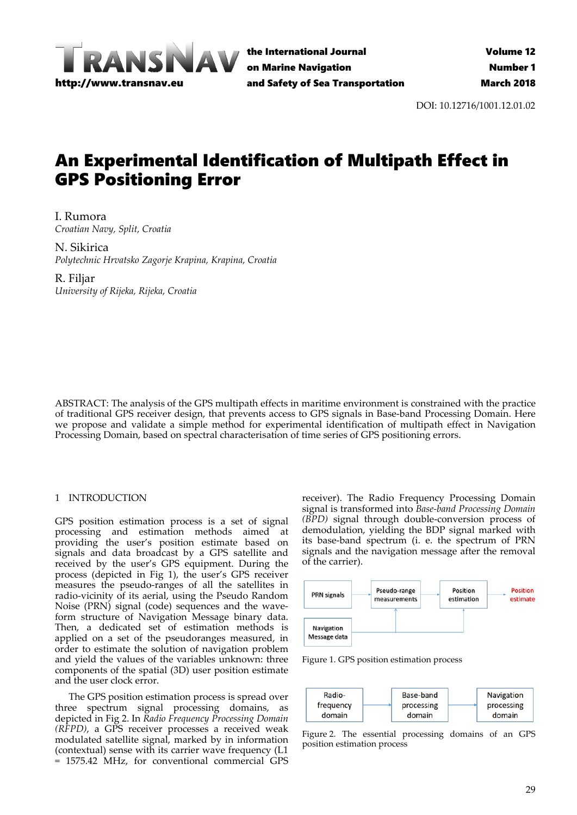

the International Journal on Marine Navigation and Safety of Sea Transportation

DOI: 10.12716/1001.12.01.02

# An Experimental Identification of Multipath Effect in GPS Positioning Error

I. Rumora *Croatian Navy, Split, Croatia*

N. Sikirica *Polytechnic Hrvatsko Zagorje Krapina, Krapina, Croatia*

R. Filjar *University of Rijeka, Rijeka, Croatia*

ABSTRACT: The analysis of the GPS multipath effects in maritime environment is constrained with the practice of traditional GPS receiver design, that prevents access to GPS signals in Base‐band Processing Domain. Here we propose and validate a simple method for experimental identification of multipath effect in Navigation Processing Domain, based on spectral characterisation of time series of GPS positioning errors.

# 1 INTRODUCTION

GPS position estimation process is a set of signal processing and estimation methods aimed at providing the user's position estimate based on signals and data broadcast by a GPS satellite and received by the user's GPS equipment. During the process (depicted in Fig 1), the user's GPS receiver measures the pseudo‐ranges of all the satellites in radio‐vicinity of its aerial, using the Pseudo Random Noise (PRN) signal (code) sequences and the wave‐ form structure of Navigation Message binary data. Then, a dedicated set of estimation methods is applied on a set of the pseudoranges measured, in order to estimate the solution of navigation problem and yield the values of the variables unknown: three components of the spatial (3D) user position estimate and the user clock error.

The GPS position estimation process is spread over three spectrum signal processing domains, as depicted in Fig 2. In *Radio Frequency Processing Domain (RFPD)*, a GPS receiver processes a received weak modulated satellite signal, marked by in information (contextual) sense with its carrier wave frequency (L1 = 1575.42 MHz, for conventional commercial GPS

receiver). The Radio Frequency Processing Domain signal is transformed into *Base‐band Processing Domain (BPD)* signal through double‐conversion process of demodulation, yielding the BDP signal marked with its base‐band spectrum (i. e. the spectrum of PRN signals and the navigation message after the removal of the carrier).



Figure 1. GPS position estimation process



Figure 2. The essential processing domains of an GPS position estimation process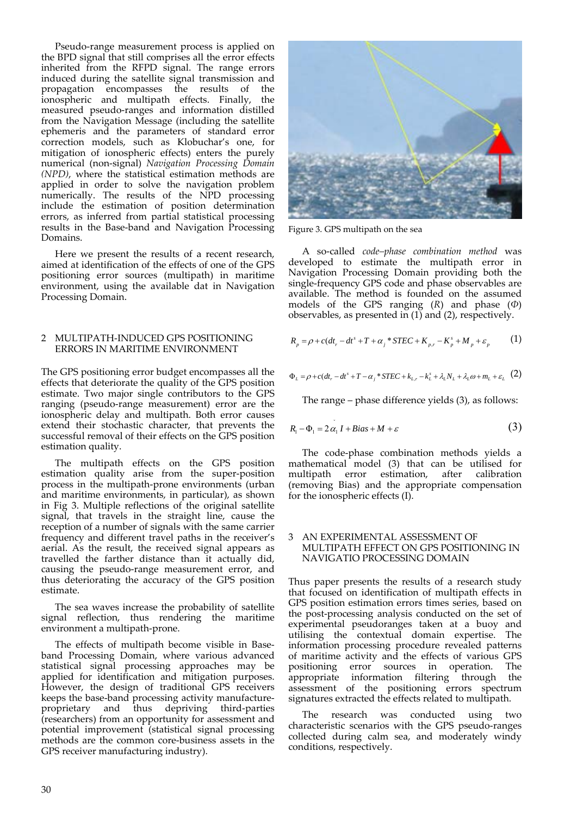Pseudo‐range measurement process is applied on the BPD signal that still comprises all the error effects inherited from the RFPD signal. The range errors induced during the satellite signal transmission and propagation encompasses the results of the ionospheric and multipath effects. Finally, the measured pseudo‐ranges and information distilled from the Navigation Message (including the satellite ephemeris and the parameters of standard error correction models, such as Klobuchar's one, for mitigation of ionospheric effects) enters the purely numerical (non‐signal) *Navigation Processing Domain (NPD)*, where the statistical estimation methods are applied in order to solve the navigation problem numerically. The results of the NPD processing include the estimation of position determination errors, as inferred from partial statistical processing results in the Base-band and Navigation Processing Domains.

Here we present the results of a recent research, aimed at identification of the effects of one of the GPS positioning error sources (multipath) in maritime environment, using the available dat in Navigation Processing Domain.

### 2 MULTIPATH‐INDUCED GPS POSITIONING ERRORS IN MARITIME ENVIRONMENT

The GPS positioning error budget encompasses all the effects that deteriorate the quality of the GPS position estimate. Two major single contributors to the GPS ranging (pseudo‐range measurement) error are the ionospheric delay and multipath. Both error causes extend their stochastic character, that prevents the successful removal of their effects on the GPS position estimation quality.

The multipath effects on the GPS position estimation quality arise from the super‐position process in the multipath‐prone environments (urban and maritime environments, in particular), as shown in Fig 3. Multiple reflections of the original satellite signal, that travels in the straight line, cause the reception of a number of signals with the same carrier frequency and different travel paths in the receiver's aerial. As the result, the received signal appears as travelled the farther distance than it actually did, causing the pseudo‐range measurement error, and thus deteriorating the accuracy of the GPS position estimate.

The sea waves increase the probability of satellite signal reflection, thus rendering the maritime environment a multipath‐prone.

The effects of multipath become visible in Baseband Processing Domain, where various advanced statistical signal processing approaches may be applied for identification and mitigation purposes. However, the design of traditional GPS receivers keeps the base‐band processing activity manufacture‐ proprietary and thus depriving third‐parties (researchers) from an opportunity for assessment and potential improvement (statistical signal processing methods are the common core‐business assets in the GPS receiver manufacturing industry).



Figure 3. GPS multipath on the sea

A so‐called *code–phase combination method* was developed to estimate the multipath error in Navigation Processing Domain providing both the single‐frequency GPS code and phase observables are available. The method is founded on the assumed models of the GPS ranging (*R*) and phase (*Φ*) observables, as presented in  $(1)$  and  $(2)$ , respectively.

$$
R_p = \rho + c(dt_r - dt^s + T + \alpha_j * STEC + K_{p,r} - K_p^s + M_p + \varepsilon_p \tag{1}
$$

$$
\Phi_L = \rho + c(dt_r - dt^s + T - \alpha_j * STEC + k_{L,r} - k_L^s + \lambda_L N_L + \lambda_L \omega + m_L + \varepsilon_L
$$
 (2)

The range – phase difference yields (3), as follows:

$$
R_1 - \Phi_1 = 2\alpha_1 I + Bias + M + \varepsilon \tag{3}
$$

The code-phase combination methods yields a mathematical model (3) that can be utilised for multipath error estimation, after calibration (removing Bias) and the appropriate compensation for the ionospheric effects (I).

#### AN EXPERIMENTAL ASSESSMENT OF MULTIPATH EFFECT ON GPS POSITIONING IN NAVIGATIO PROCESSING DOMAIN

Thus paper presents the results of a research study that focused on identification of multipath effects in GPS position estimation errors times series, based on the post‐processing analysis conducted on the set of experimental pseudoranges taken at a buoy and utilising the contextual domain expertise. The information processing procedure revealed patterns of maritime activity and the effects of various GPS positioning error sources in operation. The appropriate information filtering through the assessment of the positioning errors spectrum signatures extracted the effects related to multipath.

The research was conducted using two characteristic scenarios with the GPS pseudo-ranges collected during calm sea, and moderately windy conditions, respectively.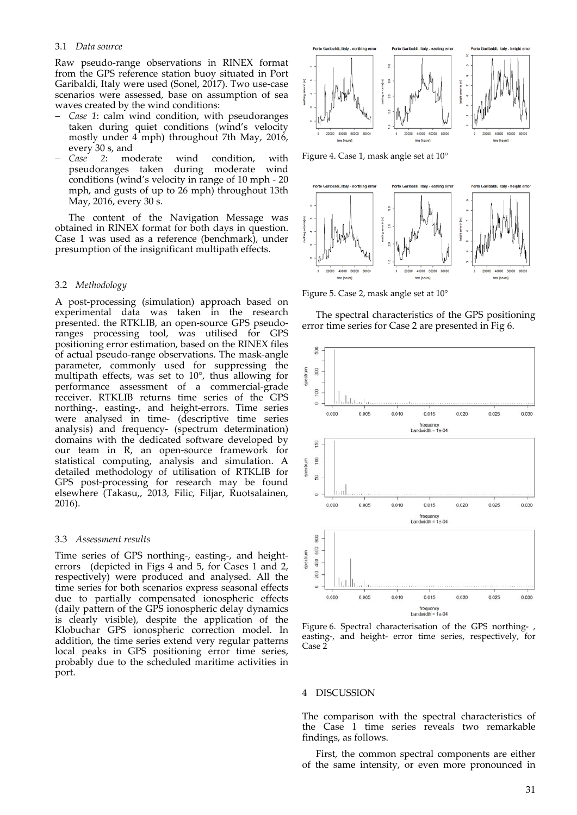#### 3.1 *Data source*

Raw pseudo‐range observations in RINEX format from the GPS reference station buoy situated in Port Garibaldi, Italy were used (Sonel, 2017). Two use‐case scenarios were assessed, base on assumption of sea waves created by the wind conditions:

- *Case 1*: calm wind condition, with pseudoranges taken during quiet conditions (wind's velocity mostly under 4 mph) throughout 7th May, 2016, every 30 s, and
- *Case 2*: moderate wind condition, with pseudoranges taken during moderate wind conditions (wind's velocity in range of 10 mph ‐ 20 mph, and gusts of up to 26 mph) throughout 13th May, 2016, every 30 s.

The content of the Navigation Message was obtained in RINEX format for both days in question. Case 1 was used as a reference (benchmark), under presumption of the insignificant multipath effects.

#### 3.2 *Methodology*

A post‐processing (simulation) approach based on experimental data was taken in the research presented. the RTKLIB, an open‐source GPS pseudo‐ ranges processing tool, was utilised for GPS positioning error estimation, based on the RINEX files of actual pseudo‐range observations. The mask‐angle parameter, commonly used for suppressing the multipath effects, was set to 10°, thus allowing for performance assessment of a commercial‐grade receiver. RTKLIB returns time series of the GPS northing‐, easting‐, and height‐errors. Time series were analysed in time- (descriptive time series analysis) and frequency‐ (spectrum determination) domains with the dedicated software developed by our team in R, an open-source framework for statistical computing, analysis and simulation. A detailed methodology of utilisation of RTKLIB for GPS post-processing for research may be found elsewhere (Takasu,, 2013, Filic, Filjar, Ruotsalainen, 2016).

#### 3.3 *Assessment results*

Time series of GPS northing-, easting-, and heighterrors (depicted in Figs 4 and 5, for Cases 1 and 2, respectively) were produced and analysed. All the time series for both scenarios express seasonal effects due to partially compensated ionospheric effects (daily pattern of the GPS ionospheric delay dynamics is clearly visible), despite the application of the Klobuchar GPS ionospheric correction model. In addition, the time series extend very regular patterns local peaks in GPS positioning error time series, probably due to the scheduled maritime activities in port.



Figure 4. Case 1, mask angle set at 10°



Figure 5. Case 2, mask angle set at 10°

The spectral characteristics of the GPS positioning error time series for Case 2 are presented in Fig 6.



Figure 6. Spectral characterisation of the GPS northing‐ , easting‐, and height‐ error time series, respectively, for Case 2

#### 4 DISCUSSION

The comparison with the spectral characteristics of the Case 1 time series reveals two remarkable findings, as follows.

First, the common spectral components are either of the same intensity, or even more pronounced in